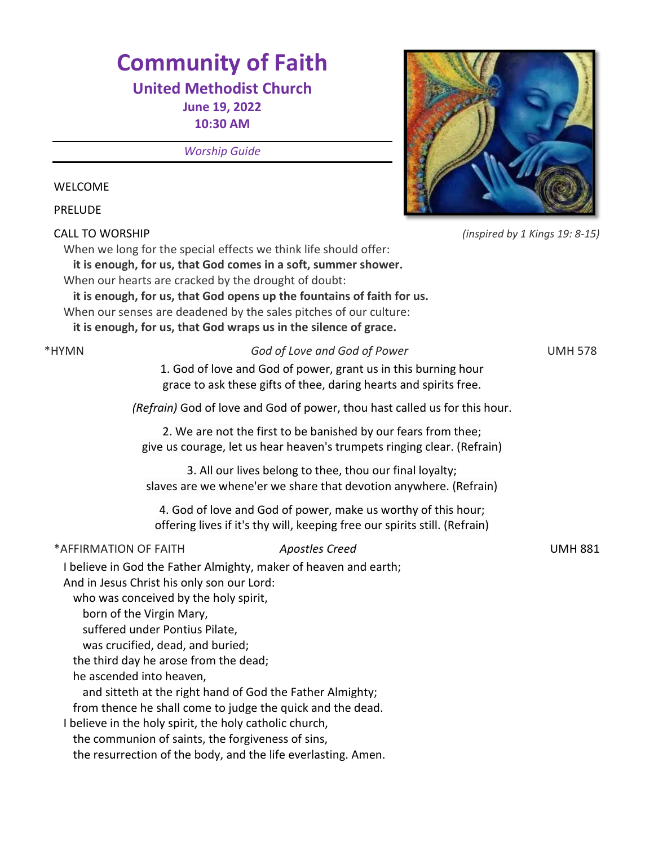# **Community of Faith**

## **United Methodist Church**

**June 19, 2022 10:30 AM** 

*Worship Guide*

#### WELCOME

PRELUDE

CALL TO WORSHIP *(inspired by 1 Kings 19: 8-15)*

When we long for the special effects we think life should offer:

**it is enough, for us, that God comes in a soft, summer shower.** When our hearts are cracked by the drought of doubt:

**it is enough, for us, that God opens up the fountains of faith for us.** When our senses are deadened by the sales pitches of our culture:

**it is enough, for us, that God wraps us in the silence of grace.**

\*HYMN *God of Love and God of Power* UMH 578

1. God of love and God of power, grant us in this burning hour grace to ask these gifts of thee, daring hearts and spirits free.

*(Refrain)* God of love and God of power, thou hast called us for this hour.

2. We are not the first to be banished by our fears from thee; give us courage, let us hear heaven's trumpets ringing clear. (Refrain)

3. All our lives belong to thee, thou our final loyalty; slaves are we whene'er we share that devotion anywhere. (Refrain)

4. God of love and God of power, make us worthy of this hour; offering lives if it's thy will, keeping free our spirits still. (Refrain)

\*AFFIRMATION OF FAITH *Apostles Creed* UMH 881

I believe in God the Father Almighty, maker of heaven and earth; And in Jesus Christ his only son our Lord:

who was conceived by the holy spirit,

born of the Virgin Mary,

suffered under Pontius Pilate,

was crucified, dead, and buried;

the third day he arose from the dead;

he ascended into heaven,

and sitteth at the right hand of God the Father Almighty;

from thence he shall come to judge the quick and the dead.

I believe in the holy spirit, the holy catholic church,

the communion of saints, the forgiveness of sins,

the resurrection of the body, and the life everlasting. Amen.

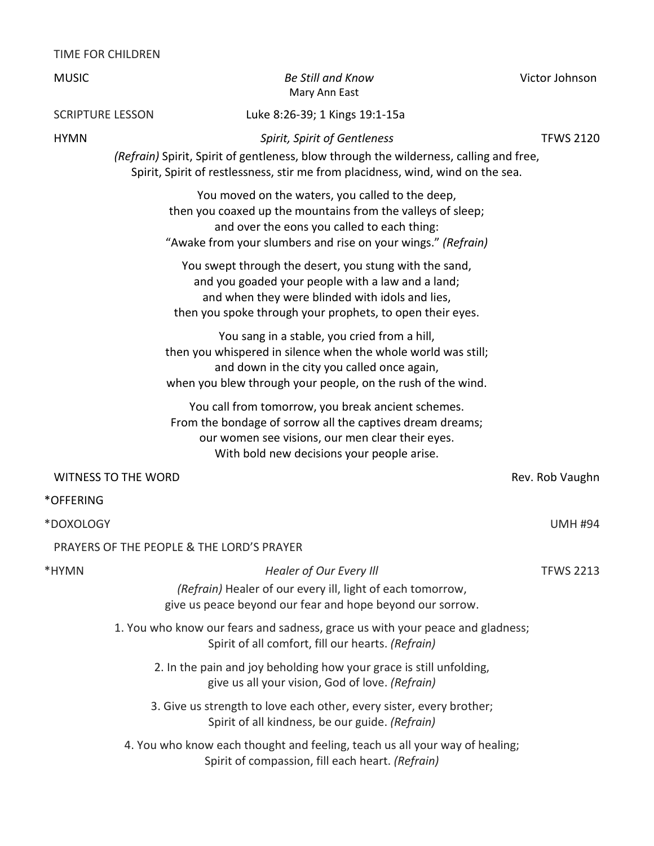#### TIME FOR CHILDREN

| <b>MUSIC</b>            |                            | <b>Be Still and Know</b><br>Mary Ann East                                                                                                                                                                                      | Victor Johnson   |
|-------------------------|----------------------------|--------------------------------------------------------------------------------------------------------------------------------------------------------------------------------------------------------------------------------|------------------|
| <b>SCRIPTURE LESSON</b> |                            | Luke 8:26-39; 1 Kings 19:1-15a                                                                                                                                                                                                 |                  |
| <b>HYMN</b>             |                            | Spirit, Spirit of Gentleness<br>(Refrain) Spirit, Spirit of gentleness, blow through the wilderness, calling and free,<br>Spirit, Spirit of restlessness, stir me from placidness, wind, wind on the sea.                      | <b>TFWS 2120</b> |
|                         |                            | You moved on the waters, you called to the deep,<br>then you coaxed up the mountains from the valleys of sleep;<br>and over the eons you called to each thing:<br>"Awake from your slumbers and rise on your wings." (Refrain) |                  |
|                         |                            | You swept through the desert, you stung with the sand,<br>and you goaded your people with a law and a land;<br>and when they were blinded with idols and lies,<br>then you spoke through your prophets, to open their eyes.    |                  |
|                         |                            | You sang in a stable, you cried from a hill,<br>then you whispered in silence when the whole world was still;<br>and down in the city you called once again,<br>when you blew through your people, on the rush of the wind.    |                  |
|                         |                            | You call from tomorrow, you break ancient schemes.<br>From the bondage of sorrow all the captives dream dreams;<br>our women see visions, our men clear their eyes.<br>With bold new decisions your people arise.              |                  |
|                         | <b>WITNESS TO THE WORD</b> |                                                                                                                                                                                                                                | Rev. Rob Vaughn  |
| *OFFERING               |                            |                                                                                                                                                                                                                                |                  |
| *DOXOLOGY               |                            |                                                                                                                                                                                                                                | <b>UMH #94</b>   |
|                         |                            | PRAYERS OF THE PEOPLE & THE LORD'S PRAYER                                                                                                                                                                                      |                  |
| *HYMN                   |                            | Healer of Our Every Ill<br>(Refrain) Healer of our every ill, light of each tomorrow,<br>give us peace beyond our fear and hope beyond our sorrow.                                                                             | <b>TFWS 2213</b> |
|                         |                            | 1. You who know our fears and sadness, grace us with your peace and gladness;<br>Spirit of all comfort, fill our hearts. (Refrain)                                                                                             |                  |
|                         |                            | 2. In the pain and joy beholding how your grace is still unfolding,<br>give us all your vision, God of love. (Refrain)                                                                                                         |                  |
|                         |                            | 3. Give us strength to love each other, every sister, every brother;<br>Spirit of all kindness, be our guide. (Refrain)                                                                                                        |                  |
|                         |                            | 4. You who know each thought and feeling, teach us all your way of healing;<br>Spirit of compassion, fill each heart. (Refrain)                                                                                                |                  |
|                         |                            |                                                                                                                                                                                                                                |                  |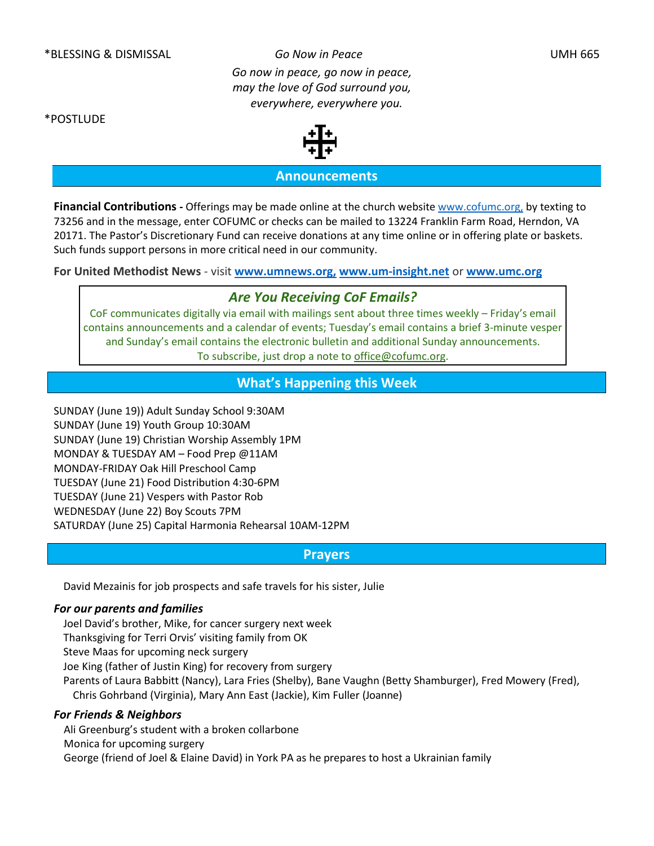*Go now in peace, go now in peace, may the love of God surround you, everywhere, everywhere you.*

\*POSTLUDE

## **Announcements**

**Financial Contributions -** Offerings may be made online at the church website [www.cofumc.org,](http://www.cofumc.org/) by texting to 73256 and in the message, enter COFUMC or checks can be mailed to 13224 Franklin Farm Road, Herndon, VA 20171. The Pastor's Discretionary Fund can receive donations at any time online or in offering plate or baskets. Such funds support persons in more critical need in our community.

**For United Methodist News** - visit **www.umnews.org, [www.um-insight.net](http://www.umnews.org/)** or **[www.umc.org](http://www.umc.org/)**

#### *Are You Receiving CoF Emails?*

CoF communicates digitally via email with mailings sent about three times weekly – Friday's email contains announcements and a calendar of events; Tuesday's email contains a brief 3-minute vesper and Sunday's email contains the electronic bulletin and additional Sunday announcements. To subscribe, just drop a note to [office@cofumc.org.](mailto:office@cofumc.org)

### **What's Happening this Week**

SUNDAY (June 19)) Adult Sunday School 9:30AM SUNDAY (June 19) Youth Group 10:30AM SUNDAY (June 19) Christian Worship Assembly 1PM MONDAY & TUESDAY AM – Food Prep @11AM MONDAY-FRIDAY Oak Hill Preschool Camp TUESDAY (June 21) Food Distribution 4:30-6PM TUESDAY (June 21) Vespers with Pastor Rob WEDNESDAY (June 22) Boy Scouts 7PM SATURDAY (June 25) Capital Harmonia Rehearsal 10AM-12PM

#### **Prayers**

David Mezainis for job prospects and safe travels for his sister, Julie

#### *For our parents and families*

Joel David's brother, Mike, for cancer surgery next week Thanksgiving for Terri Orvis' visiting family from OK Steve Maas for upcoming neck surgery Joe King (father of Justin King) for recovery from surgery Parents of Laura Babbitt (Nancy), Lara Fries (Shelby), Bane Vaughn (Betty Shamburger), Fred Mowery (Fred), Chris Gohrband (Virginia), Mary Ann East (Jackie), Kim Fuller (Joanne)

#### *For Friends & Neighbors*

Ali Greenburg's student with a broken collarbone Monica for upcoming surgery George (friend of Joel & Elaine David) in York PA as he prepares to host a Ukrainian family